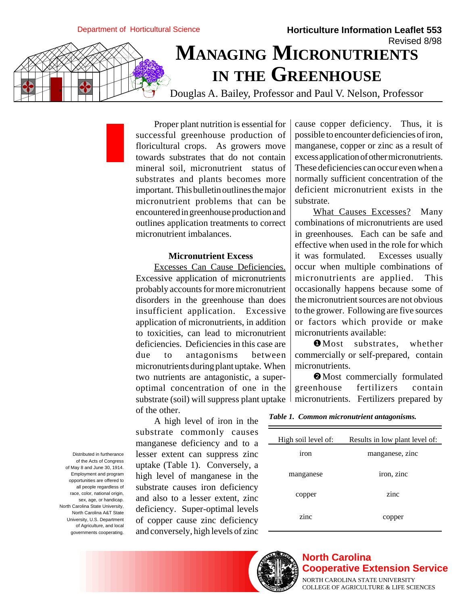Department of Horticultural Science

## **Horticulture Information Leaflet 553** Revised 8/98 **MANAGING MICRONUTRIENTS IN THE GREENHOUSE**

Douglas A. Bailey, Professor and Paul V. Nelson, Professor

Proper plant nutrition is essential for successful greenhouse production of floricultural crops. As growers move towards substrates that do not contain mineral soil, micronutrient status of substrates and plants becomes more important. This bulletin outlines the major micronutrient problems that can be encountered in greenhouse production and outlines application treatments to correct micronutrient imbalances.

## **Micronutrient Excess**

Excesses Can Cause Deficiencies. Excessive application of micronutrients probably accounts for more micronutrient disorders in the greenhouse than does insufficient application. Excessive application of micronutrients, in addition to toxicities, can lead to micronutrient deficiencies. Deficiencies in this case are due to antagonisms between micronutrients during plant uptake. When two nutrients are antagonistic, a superoptimal concentration of one in the substrate (soil) will suppress plant uptake of the other.

cause copper deficiency. Thus, it is possible to encounter deficiencies of iron, manganese, copper or zinc as a result of excess application of other micronutrients. These deficiencies can occur even when a normally sufficient concentration of the deficient micronutrient exists in the substrate.

What Causes Excesses? Many combinations of micronutrients are used in greenhouses. Each can be safe and effective when used in the role for which it was formulated. Excesses usually occur when multiple combinations of micronutrients are applied. This occasionally happens because some of the micronutrient sources are not obvious to the grower. Following are five sources or factors which provide or make micronutrients available:

❶ Most substrates, whether commercially or self-prepared, contain micronutrients.

❷ Most commercially formulated greenhouse fertilizers contain micronutrients. Fertilizers prepared by

A high level of iron in the substrate commonly causes manganese deficiency and to a lesser extent can suppress zinc uptake (Table 1). Conversely, a high level of manganese in the substrate causes iron deficiency and also to a lesser extent, zinc deficiency. Super-optimal levels of copper cause zinc deficiency and conversely, high levels of zinc

| High soil level of: | Results in low plant level of: |
|---------------------|--------------------------------|
| iron                | manganese, zinc                |
| manganese           | iron, zinc                     |
| copper              | zinc                           |
| zinc                | copper                         |

Distributed in furtherance of the Acts of Congress of May 8 and June 30, 1914. Employment and program opportunities are offered to all people regardless of race, color, national origin, sex, age, or handicap. North Carolina State University, North Carolina A&T State University, U.S. Department of Agriculture, and local governments cooperating.



## **North Carolina Cooperative Extension Service**

NORTH CAROLINA STATE UNIVERSITY COLLEGE OF AGRICULTURE & LIFE SCIENCES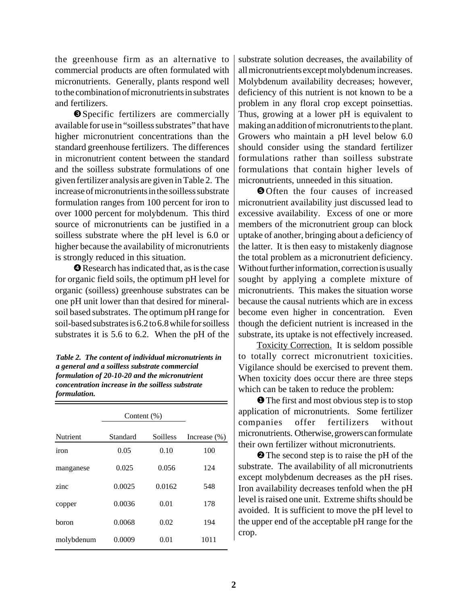the greenhouse firm as an alternative to commercial products are often formulated with micronutrients. Generally, plants respond well to the combination of micronutrients in substrates and fertilizers.

❸ Specific fertilizers are commercially available for use in "soilless substrates" that have higher micronutrient concentrations than the standard greenhouse fertilizers. The differences in micronutrient content between the standard and the soilless substrate formulations of one given fertilizer analysis are given in Table 2. The increase of micronutrients in the soilless substrate formulation ranges from 100 percent for iron to over 1000 percent for molybdenum. This third source of micronutrients can be justified in a soilless substrate where the pH level is 6.0 or higher because the availability of micronutrients is strongly reduced in this situation.

❹ Research has indicated that, as is the case for organic field soils, the optimum pH level for organic (soilless) greenhouse substrates can be one pH unit lower than that desired for mineralsoil based substrates. The optimum pH range for soil-based substrates is 6.2 to 6.8 while for soilless substrates it is 5.6 to 6.2. When the pH of the

*Table 2. The content of individual micronutrients in a general and a soilless substrate commercial formulation of 20-10-20 and the micronutrient concentration increase in the soilless substrate formulation.*

|            | Content $(\%)$ |          |                 |
|------------|----------------|----------|-----------------|
| Nutrient   | Standard       | Soilless | Increase $(\%)$ |
| iron       | 0.05           | 0.10     | 100             |
| manganese  | 0.025          | 0.056    | 124             |
| zinc       | 0.0025         | 0.0162   | 548             |
| copper     | 0.0036         | 0.01     | 178             |
| boron      | 0.0068         | 0.02     | 194             |
| molybdenum | 0.0009         | 0.01     | 1011            |

substrate solution decreases, the availability of all micronutrients except molybdenum increases. Molybdenum availability decreases; however, deficiency of this nutrient is not known to be a problem in any floral crop except poinsettias. Thus, growing at a lower pH is equivalent to making an addition of micronutrients to the plant. Growers who maintain a pH level below 6.0 should consider using the standard fertilizer formulations rather than soilless substrate formulations that contain higher levels of micronutrients, unneeded in this situation.

❺ Often the four causes of increased micronutrient availability just discussed lead to excessive availability. Excess of one or more members of the micronutrient group can block uptake of another, bringing about a deficiency of the latter. It is then easy to mistakenly diagnose the total problem as a micronutrient deficiency. Without further information, correction is usually sought by applying a complete mixture of micronutrients. This makes the situation worse because the causal nutrients which are in excess become even higher in concentration. Even though the deficient nutrient is increased in the substrate, its uptake is not effectively increased.

Toxicity Correction. It is seldom possible to totally correct micronutrient toxicities. Vigilance should be exercised to prevent them. When toxicity does occur there are three steps which can be taken to reduce the problem:

❶ The first and most obvious step is to stop application of micronutrients. Some fertilizer companies offer fertilizers without micronutrients. Otherwise, growers can formulate their own fertilizer without micronutrients.

❷ The second step is to raise the pH of the substrate. The availability of all micronutrients except molybdenum decreases as the pH rises. Iron availability decreases tenfold when the pH level is raised one unit. Extreme shifts should be avoided. It is sufficient to move the pH level to the upper end of the acceptable pH range for the crop.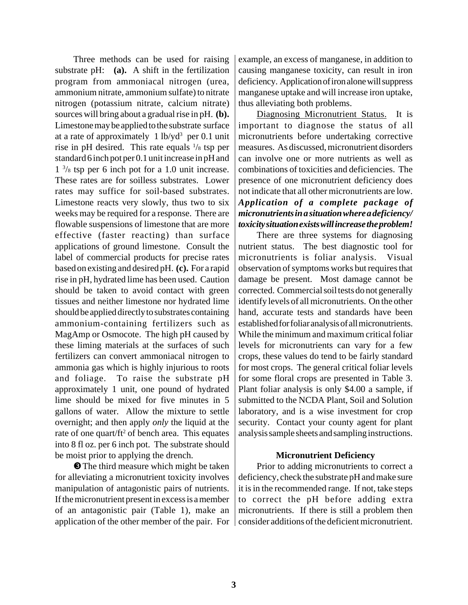Three methods can be used for raising substrate pH: **(a).** A shift in the fertilization program from ammoniacal nitrogen (urea, ammonium nitrate, ammonium sulfate) to nitrate nitrogen (potassium nitrate, calcium nitrate) sources will bring about a gradual rise in pH. **(b).** Limestone may be applied to the substrate surface at a rate of approximately 1 lb/yd<sup>3</sup> per 0.1 unit rise in pH desired. This rate equals  $\frac{1}{8}$  tsp per standard 6 inch pot per 0.1 unit increase in pH and 1 3 /8 tsp per 6 inch pot for a 1.0 unit increase. These rates are for soilless substrates. Lower rates may suffice for soil-based substrates. Limestone reacts very slowly, thus two to six weeks may be required for a response. There are flowable suspensions of limestone that are more effective (faster reacting) than surface applications of ground limestone. Consult the label of commercial products for precise rates based on existing and desired pH. **(c).** For a rapid rise in pH, hydrated lime has been used. Caution should be taken to avoid contact with green tissues and neither limestone nor hydrated lime should be applied directly to substrates containing ammonium-containing fertilizers such as MagAmp or Osmocote. The high pH caused by these liming materials at the surfaces of such fertilizers can convert ammoniacal nitrogen to ammonia gas which is highly injurious to roots and foliage. To raise the substrate pH approximately 1 unit, one pound of hydrated lime should be mixed for five minutes in 5 gallons of water. Allow the mixture to settle overnight; and then apply *only* the liquid at the rate of one quart/ft<sup>2</sup> of bench area. This equates into 8 fl oz. per 6 inch pot. The substrate should be moist prior to applying the drench.

❸ The third measure which might be taken for alleviating a micronutrient toxicity involves manipulation of antagonistic pairs of nutrients. If the micronutrient present in excess is a member of an antagonistic pair (Table 1), make an application of the other member of the pair. For example, an excess of manganese, in addition to causing manganese toxicity, can result in iron deficiency. Application of iron alone will suppress manganese uptake and will increase iron uptake, thus alleviating both problems.

Diagnosing Micronutrient Status. It is important to diagnose the status of all micronutrients before undertaking corrective measures. As discussed, micronutrient disorders can involve one or more nutrients as well as combinations of toxicities and deficiencies. The presence of one micronutrient deficiency does not indicate that all other micronutrients are low. *Application of a complete package of micronutrients in a situation where a deficiency/ toxicity situation exists will increase the problem!*

There are three systems for diagnosing nutrient status. The best diagnostic tool for micronutrients is foliar analysis. Visual observation of symptoms works but requires that damage be present. Most damage cannot be corrected. Commercial soil tests do not generally identify levels of all micronutrients. On the other hand, accurate tests and standards have been established for foliar analysis of all micronutrients. While the minimum and maximum critical foliar levels for micronutrients can vary for a few crops, these values do tend to be fairly standard for most crops. The general critical foliar levels for some floral crops are presented in Table 3. Plant foliar analysis is only \$4.00 a sample, if submitted to the NCDA Plant, Soil and Solution laboratory, and is a wise investment for crop security. Contact your county agent for plant analysis sample sheets and sampling instructions.

## **Micronutrient Deficiency**

Prior to adding micronutrients to correct a deficiency, check the substrate pH and make sure it is in the recommended range. If not, take steps to correct the pH before adding extra micronutrients. If there is still a problem then consider additions of the deficient micronutrient.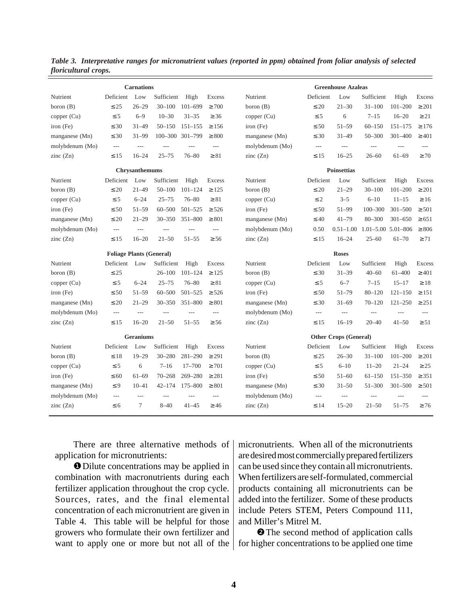| <b>Carnations</b> |                                 |                  |                 |                | <b>Greenhouse Azaleas</b> |  |                 |                |                              |                            |                |                |
|-------------------|---------------------------------|------------------|-----------------|----------------|---------------------------|--|-----------------|----------------|------------------------------|----------------------------|----------------|----------------|
| Nutrient          | Deficient                       | Low              | Sufficient      | High           | Excess                    |  | Nutrient        | Deficient      | Low                          | Sufficient                 | High           | Excess         |
| boron $(B)$       | $\leq 25$                       | $26 - 29$        | $30 - 100$      | $101 - 699$    | $\geq 700$                |  | boron $(B)$     | $\leq 20$      | $21 - 30$                    | $31 - 100$                 | $101 - 200$    | $\geq 201$     |
| copper $(Cu)$     | $\leq 5$                        | $6 - 9$          | $10 - 30$       | $31 - 35$      | $\geq 36$                 |  | copper (Cu)     | $\leq$ 5       | 6                            | $7 - 15$                   | $16 - 20$      | $\geq 21$      |
| iron (Fe)         | $\leq 30$                       | $31 - 49$        | $50 - 150$      | $151 - 155$    | $\geq 156$                |  | iron (Fe)       | $\leq 50$      | $51 - 59$                    | $60 - 150$                 | $151 - 175$    | $\geq 176$     |
| manganese (Mn)    | $\leq 30$                       | $31 - 99$        | 100-300 301-799 |                | $\geq 800$                |  | manganese (Mn)  | $\leq 30$      | $31 - 49$                    | $50 - 300$                 | $301 - 400$    | $\geq 401$     |
| molybdenum (Mo)   | $\overline{a}$                  | $\overline{a}$   | $---$           | $---$          | $\overline{a}$            |  | molybdenum (Mo) | $\overline{a}$ | $\overline{a}$               | $\overline{\phantom{a}}$   | $\overline{a}$ | $\cdots$       |
| zinc $(Zn)$       | $\leq 15$                       | $16 - 24$        | $25 - 75$       | $76 - 80$      | $\geq 81$                 |  | zinc $(Zn)$     | $\leq 15$      | $16 - 25$                    | $26 - 60$                  | $61 - 69$      | $\geq 70$      |
|                   |                                 | Chrysanthemums   |                 |                |                           |  |                 |                | <b>Poinsettias</b>           |                            |                |                |
| Nutrient          | Deficient                       | Low              | Sufficient      | High           | <b>Excess</b>             |  | Nutrient        | Deficient      | Low                          | Sufficient                 | High           | Excess         |
| boron $(B)$       | $\leq 20$                       | $21 - 49$        | $50 - 100$      | $101 - 124$    | $\geq 125$                |  | boron $(B)$     | $\leq 20$      | $21 - 29$                    | $30 - 100$                 | $101 - 200$    | $\geq 201$     |
| copper (Cu)       | $\leq$ 5                        | $6 - 24$         | $25 - 75$       | $76 - 80$      | $\geq 81$                 |  | copper (Cu)     | $\leq 2$       | $3 - 5$                      | $6 - 10$                   | $11 - 15$      | $\geq 16$      |
| iron (Fe)         | $\leq 50$                       | $51 - 59$        | $60 - 500$      | $501 - 525$    | $\geq 526$                |  | $iron$ (Fe)     | $\leq 50$      | $51 - 99$                    | $100 - 300$                | $301 - 500$    | $\geq 501$     |
| manganese (Mn)    | $\leq 20$                       | $21 - 29$        | $30 - 350$      | 351-800        | $\geq 801$                |  | manganese (Mn)  | $\leq 40$      | $41 - 79$                    | $80 - 300$                 | $301 - 650$    | $\geq 651$     |
| molybdenum (Mo)   | $\overline{a}$                  | $\overline{a}$   | $\overline{a}$  | $---$          | $---$                     |  | molybdenum (Mo) | 0.50           | $0.51 - 1.00$                | $1.01 - 5.00$ $5.01 - 806$ |                | $\geq 806$     |
| zinc(Zn)          | $\leq 15$                       | $16 - 20$        | $21 - 50$       | $51 - 55$      | $\geq 56$                 |  | zinc(Zn)        | $\leq 15$      | $16 - 24$                    | $25 - 60$                  | $61 - 70$      | $\geq 71$      |
|                   | <b>Foliage Plants (General)</b> |                  |                 |                |                           |  |                 |                | <b>Roses</b>                 |                            |                |                |
| Nutrient          | Deficient                       | Low              | Sufficient      | High           | <b>Excess</b>             |  | Nutrient        | Deficient      | Low                          | Sufficient                 | High           | Excess         |
| boron $(B)$       | $\leq 25$                       |                  | $26 - 100$      | $101 - 124$    | $\geq 125$                |  | boron $(B)$     | $\leq 30$      | $31 - 39$                    | $40 - 60$                  | 61-400         | $\geq 401$     |
| copper (Cu)       | $\leq 5$                        | $6 - 24$         | $25 - 75$       | $76 - 80$      | $\geq 81$                 |  | copper $(Cu)$   | $\leq$ 5       | $6 - 7$                      | $7 - 15$                   | $15 - 17$      | $\geq 18$      |
| $iron$ (Fe)       | $\leq 50$                       | $51 - 59$        | $60 - 500$      | $501 - 525$    | $\geq$ 526                |  | iron (Fe)       | $\leq 50$      | $51 - 79$                    | $80 - 120$                 | $121 - 150$    | $\geq 151$     |
| manganese (Mn)    | $\leq 20$                       | $21 - 29$        | $30 - 350$      | $351 - 800$    | $\geq 801$                |  | manganese (Mn)  | $\leq 30$      | $31 - 69$                    | $70 - 120$                 | $121 - 250$    | $\geq 251$     |
| molybdenum (Mo)   | $---$                           | $---$            | $---$           | $\overline{a}$ | $---$                     |  | molybdenum (Mo) | $\cdots$       | $\overline{\phantom{a}}$     | $---$                      | $---$          | $---$          |
| zinc $(Zn)$       | $\leq 15$                       | $16 - 20$        | $21 - 50$       | $51 - 55$      | $\geq 56$                 |  | zinc $(Zn)$     | $\leq 15$      | $16 - 19$                    | $20 - 40$                  | $41 - 50$      | $\geq 51$      |
|                   |                                 | <b>Geraniums</b> |                 |                |                           |  |                 |                | <b>Other Crops (General)</b> |                            |                |                |
| Nutrient          | Deficient                       | Low              | Sufficient      | High           | Excess                    |  | Nutrient        | Deficient      | Low                          | Sufficient                 | High           | Excess         |
| boron $(B)$       | $\leq 18$                       | $19 - 29$        | $30 - 280$      | $281 - 290$    | $\geq 291$                |  | boron $(B)$     | $\leq 25$      | $26 - 30$                    | $31 - 100$                 | $101 - 200$    | $\geq 201$     |
| copper (Cu)       | $\leq 5$                        | 6                | $7 - 16$        | $17 - 700$     | $\geq 701$                |  | copper (Cu)     | $\leq$ 5       | $6 - 10$                     | $11 - 20$                  | $21 - 24$      | $\geq 25$      |
| iron (Fe)         | $\leq 60$                       | $61 - 69$        | $70 - 268$      | 269-280        | $\geq 281$                |  | iron (Fe)       | $\leq 50$      | $51 - 60$                    | $61 - 150$                 | 151-350        | $\geq 351$     |
| manganese (Mn)    | $\leq 9$                        | $10 - 41$        | $42 - 174$      | 175-800        | $\geq 801$                |  | manganese (Mn)  | $\leq 30$      | $31 - 50$                    | $51 - 300$                 | $301 - 500$    | $\geq 501$     |
| molybdenum (Mo)   | $\overline{a}$                  | $---$            | $---$           | $---$          | $---$                     |  | molybdenum (Mo) | $\overline{a}$ | $\overline{a}$               | $\overline{a}$             | $---$          | $\overline{a}$ |
| zinc $(Zn)$       | $\leq 6$                        | 7                | $8 - 40$        | $41 - 45$      | $\geq 46$                 |  | zinc $(Zn)$     | $\leq 14$      | $15 - 20$                    | $21 - 50$                  | $51 - 75$      | $\geq 76$      |
|                   |                                 |                  |                 |                |                           |  |                 |                |                              |                            |                |                |

Table 3. Interpretative ranges for micronutrient values (reported in ppm) obtained from foliar analysis of selected *floricultural crops.*

There are three alternative methods of application for micronutrients:

❶ Dilute concentrations may be applied in combination with macronutrients during each fertilizer application throughout the crop cycle. Sources, rates, and the final elemental concentration of each micronutrient are given in Table 4. This table will be helpful for those growers who formulate their own fertilizer and want to apply one or more but not all of the micronutrients. When all of the micronutrients are desired most commercially prepared fertilizers can be used since they contain all micronutrients. When fertilizers are self-formulated, commercial products containing all micronutrients can be added into the fertilizer. Some of these products include Peters STEM, Peters Compound 111, and Miller's Mitrel M.

❷ The second method of application calls for higher concentrations to be applied one time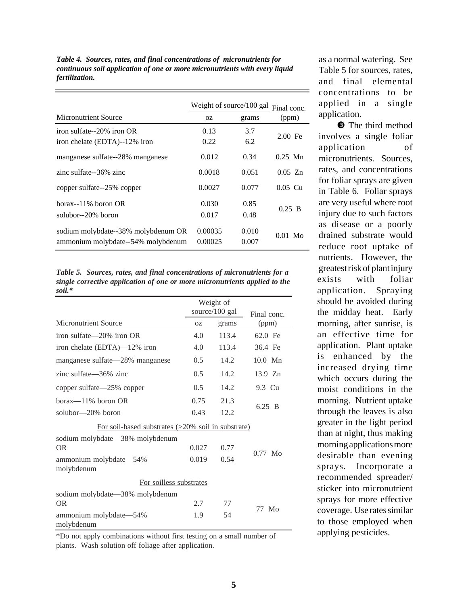*Table 4. Sources, rates, and final concentrations of micronutrients for continuous soil application of one or more micronutrients with every liquid fertilization.*

|                                                                           | Weight of source/100 gal<br>Final conc. |                |           |
|---------------------------------------------------------------------------|-----------------------------------------|----------------|-----------|
| Micronutrient Source                                                      | OZ.                                     | grams          | (ppm)     |
| iron sulfate—20% iron OR                                                  | 0.13                                    | 3.7            | $2.00$ Fe |
| iron chelate (EDTA)--12% iron                                             | 0.22                                    | 6.2            |           |
| manganese sulfate--28% manganese                                          | 0.012                                   | 0.34           | $0.25$ Mn |
| zinc sulfate--36% zinc                                                    | 0.0018                                  | 0.051          | $0.05$ Zn |
| copper sulfate--25% copper                                                | 0.0027                                  | 0.077          | $0.05$ Cu |
| $borax - 11\%$ boron OR                                                   | 0.030                                   | 0.85           | $0.25$ B  |
| solubor--20% boron                                                        | 0.017                                   | 0.48           |           |
| sodium molybdate--38% molybdenum OR<br>ammonium molybdate--54% molybdenum | 0.00035<br>0.00025                      | 0.010<br>0.007 | $0.01$ Mo |

*Table 5. Sources, rates, and final concentrations of micronutrients for a single corrective application of one or more micronutrients applied to the soil.\**

|                                                    |       | Weight of<br>source/100 gal | Final conc. |  |  |  |
|----------------------------------------------------|-------|-----------------------------|-------------|--|--|--|
| Micronutrient Source                               | 0Z    | grams                       | (ppm)       |  |  |  |
| iron sulfate $-20\%$ iron OR                       | 4.0   | 113.4                       | 62.0 Fe     |  |  |  |
| iron chelate (EDTA)—12% iron                       | 4.0   | 113.4                       | 36.4 Fe     |  |  |  |
| manganese sulfate—28% manganese                    | 0.5   | 14.2                        | $10.0$ Mn   |  |  |  |
| zinc sulfate—36% zinc                              | 0.5   | 14.2                        | 13.9 Zn     |  |  |  |
| copper sulfate—25% copper                          | 0.5   | 14.2                        | 9.3 Cu      |  |  |  |
| borax-11% boron OR                                 | 0.75  | 21.3                        |             |  |  |  |
| solubor—20% boron                                  | 0.43  | 12.2                        | 6.25 B      |  |  |  |
| For soil-based substrates (>20% soil in substrate) |       |                             |             |  |  |  |
| sodium molybdate-38% molybdenum                    |       |                             |             |  |  |  |
| <b>OR</b>                                          | 0.027 | 0.77                        | $0.77$ Mo   |  |  |  |
| ammonium molybdate-54%<br>molybdenum               | 0.019 | 0.54                        |             |  |  |  |
| For soilless substrates                            |       |                             |             |  |  |  |
| sodium molybdate-38% molybdenum                    |       |                             |             |  |  |  |
| <b>OR</b>                                          | 2.7   | 77                          | 77 Mo       |  |  |  |
| ammonium molybdate-54%<br>molybdenum               | 1.9   | 54                          |             |  |  |  |

\*Do not apply combinations without first testing on a small number of plants. Wash solution off foliage after application.

as a normal watering. See Table 5 for sources, rates, and final elemental concentrations to be applied in a single application.

❸ The third method involves a single foliar application of micronutrients. Sources, rates, and concentrations for foliar sprays are given in Table 6. Foliar sprays are very useful where root injury due to such factors as disease or a poorly drained substrate would reduce root uptake of nutrients. However, the greatest risk of plant injury exists with foliar application. Spraying should be avoided during the midday heat. Early morning, after sunrise, is an effective time for application. Plant uptake is enhanced by the increased drying time which occurs during the moist conditions in the morning. Nutrient uptake through the leaves is also greater in the light period than at night, thus making morning applications more desirable than evening sprays. Incorporate a recommended spreader/ sticker into micronutrient sprays for more effective coverage. Use rates similar to those employed when applying pesticides.